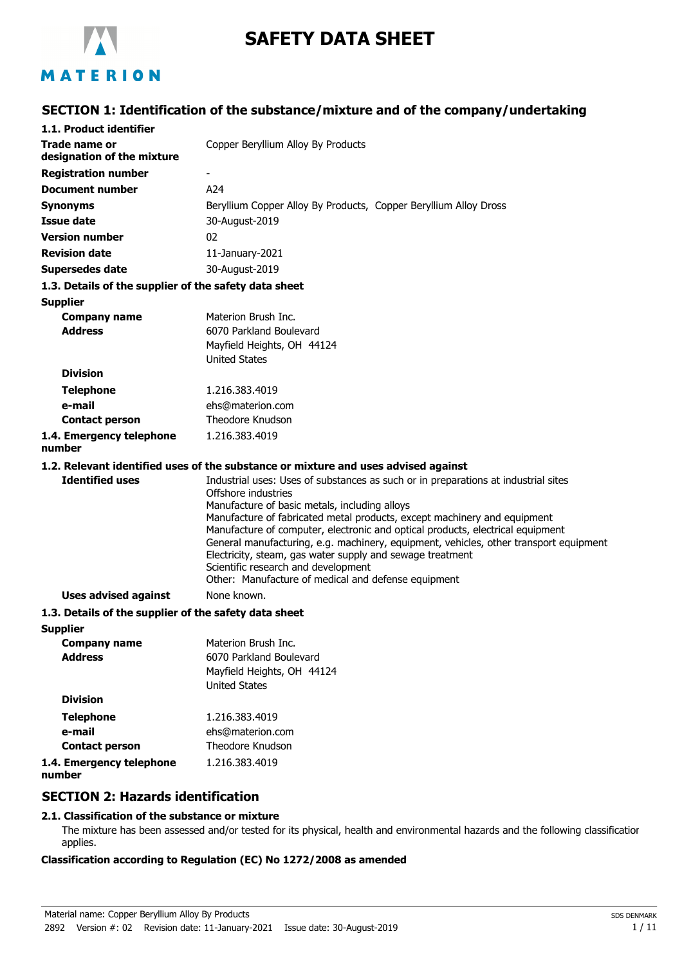

# **SAFETY DATA SHEET**

# MATERION

# **SECTION 1: Identification of the substance/mixture and of the company/undertaking**

| 1.1. Product identifier                               |                                                                                                                                                                                                                                                                                                                                                                                                                                                                                                                                                                              |
|-------------------------------------------------------|------------------------------------------------------------------------------------------------------------------------------------------------------------------------------------------------------------------------------------------------------------------------------------------------------------------------------------------------------------------------------------------------------------------------------------------------------------------------------------------------------------------------------------------------------------------------------|
| Trade name or<br>designation of the mixture           | Copper Beryllium Alloy By Products                                                                                                                                                                                                                                                                                                                                                                                                                                                                                                                                           |
| <b>Registration number</b>                            | $\overline{\phantom{a}}$                                                                                                                                                                                                                                                                                                                                                                                                                                                                                                                                                     |
| <b>Document number</b>                                | A24                                                                                                                                                                                                                                                                                                                                                                                                                                                                                                                                                                          |
| Synonyms                                              | Beryllium Copper Alloy By Products, Copper Beryllium Alloy Dross                                                                                                                                                                                                                                                                                                                                                                                                                                                                                                             |
| <b>Issue date</b>                                     | 30-August-2019                                                                                                                                                                                                                                                                                                                                                                                                                                                                                                                                                               |
| <b>Version number</b>                                 | 02                                                                                                                                                                                                                                                                                                                                                                                                                                                                                                                                                                           |
| <b>Revision date</b>                                  | 11-January-2021                                                                                                                                                                                                                                                                                                                                                                                                                                                                                                                                                              |
| <b>Supersedes date</b>                                | 30-August-2019                                                                                                                                                                                                                                                                                                                                                                                                                                                                                                                                                               |
| 1.3. Details of the supplier of the safety data sheet |                                                                                                                                                                                                                                                                                                                                                                                                                                                                                                                                                                              |
| <b>Supplier</b>                                       |                                                                                                                                                                                                                                                                                                                                                                                                                                                                                                                                                                              |
| <b>Company name</b>                                   | Materion Brush Inc.                                                                                                                                                                                                                                                                                                                                                                                                                                                                                                                                                          |
| <b>Address</b>                                        | 6070 Parkland Boulevard                                                                                                                                                                                                                                                                                                                                                                                                                                                                                                                                                      |
|                                                       | Mayfield Heights, OH 44124                                                                                                                                                                                                                                                                                                                                                                                                                                                                                                                                                   |
| <b>Division</b>                                       | <b>United States</b>                                                                                                                                                                                                                                                                                                                                                                                                                                                                                                                                                         |
|                                                       |                                                                                                                                                                                                                                                                                                                                                                                                                                                                                                                                                                              |
| <b>Telephone</b>                                      | 1.216.383.4019                                                                                                                                                                                                                                                                                                                                                                                                                                                                                                                                                               |
| e-mail<br><b>Contact person</b>                       | ehs@materion.com<br>Theodore Knudson                                                                                                                                                                                                                                                                                                                                                                                                                                                                                                                                         |
| 1.4. Emergency telephone                              | 1.216.383.4019                                                                                                                                                                                                                                                                                                                                                                                                                                                                                                                                                               |
| number                                                |                                                                                                                                                                                                                                                                                                                                                                                                                                                                                                                                                                              |
|                                                       | 1.2. Relevant identified uses of the substance or mixture and uses advised against                                                                                                                                                                                                                                                                                                                                                                                                                                                                                           |
| <b>Identified uses</b>                                | Industrial uses: Uses of substances as such or in preparations at industrial sites<br>Offshore industries<br>Manufacture of basic metals, including alloys<br>Manufacture of fabricated metal products, except machinery and equipment<br>Manufacture of computer, electronic and optical products, electrical equipment<br>General manufacturing, e.g. machinery, equipment, vehicles, other transport equipment<br>Electricity, steam, gas water supply and sewage treatment<br>Scientific research and development<br>Other: Manufacture of medical and defense equipment |
| <b>Uses advised against</b>                           | None known.                                                                                                                                                                                                                                                                                                                                                                                                                                                                                                                                                                  |
| 1.3. Details of the supplier of the safety data sheet |                                                                                                                                                                                                                                                                                                                                                                                                                                                                                                                                                                              |
| <b>Supplier</b>                                       |                                                                                                                                                                                                                                                                                                                                                                                                                                                                                                                                                                              |
| <b>Company name</b>                                   | Materion Brush Inc.                                                                                                                                                                                                                                                                                                                                                                                                                                                                                                                                                          |
| <b>Address</b>                                        | 6070 Parkland Boulevard<br>Mayfield Heights, OH 44124<br><b>United States</b>                                                                                                                                                                                                                                                                                                                                                                                                                                                                                                |

| <b>Division</b>                    |                  |
|------------------------------------|------------------|
| <b>Telephone</b>                   | 1.216.383.4019   |
| e-mail                             | ehs@materion.com |
| <b>Contact person</b>              | Theodore Knudson |
| 1.4. Emergency telephone<br>number | 1.216.383.4019   |

## **SECTION 2: Hazards identification**

### **2.1. Classification of the substance or mixture**

The mixture has been assessed and/or tested for its physical, health and environmental hazards and the following classification applies.

### **Classification according to Regulation (EC) No 1272/2008 as amended**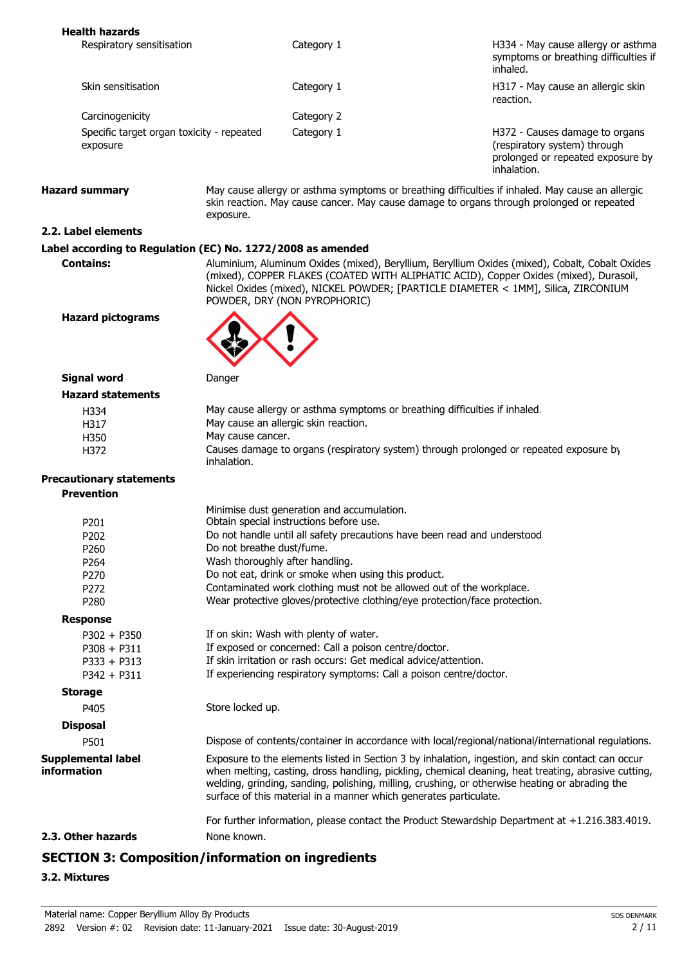| <b>Health hazards</b>                                       |                                 |                                                                            |                                                                                                                                                                                                                                                                                                             |
|-------------------------------------------------------------|---------------------------------|----------------------------------------------------------------------------|-------------------------------------------------------------------------------------------------------------------------------------------------------------------------------------------------------------------------------------------------------------------------------------------------------------|
| Respiratory sensitisation                                   |                                 | Category 1                                                                 | H334 - May cause allergy or asthma<br>symptoms or breathing difficulties if<br>inhaled.                                                                                                                                                                                                                     |
| Skin sensitisation                                          |                                 | Category 1                                                                 | H317 - May cause an allergic skin<br>reaction.                                                                                                                                                                                                                                                              |
| Carcinogenicity                                             |                                 | Category 2                                                                 |                                                                                                                                                                                                                                                                                                             |
| Specific target organ toxicity - repeated<br>exposure       |                                 | Category 1                                                                 | H372 - Causes damage to organs<br>(respiratory system) through<br>prolonged or repeated exposure by<br>inhalation.                                                                                                                                                                                          |
| <b>Hazard summary</b>                                       | exposure.                       |                                                                            | May cause allergy or asthma symptoms or breathing difficulties if inhaled. May cause an allergic<br>skin reaction. May cause cancer. May cause damage to organs through prolonged or repeated                                                                                                               |
| 2.2. Label elements                                         |                                 |                                                                            |                                                                                                                                                                                                                                                                                                             |
| Label according to Regulation (EC) No. 1272/2008 as amended |                                 |                                                                            |                                                                                                                                                                                                                                                                                                             |
| <b>Contains:</b>                                            |                                 | POWDER, DRY (NON PYROPHORIC)                                               | Aluminium, Aluminum Oxides (mixed), Beryllium, Beryllium Oxides (mixed), Cobalt, Cobalt Oxides<br>(mixed), COPPER FLAKES (COATED WITH ALIPHATIC ACID), Copper Oxides (mixed), Durasoil,<br>Nickel Oxides (mixed), NICKEL POWDER; [PARTICLE DIAMETER < 1MM], Silica, ZIRCONIUM                               |
| <b>Hazard pictograms</b>                                    |                                 |                                                                            |                                                                                                                                                                                                                                                                                                             |
| <b>Signal word</b>                                          | Danger                          |                                                                            |                                                                                                                                                                                                                                                                                                             |
| <b>Hazard statements</b>                                    |                                 |                                                                            |                                                                                                                                                                                                                                                                                                             |
| H334                                                        |                                 | May cause allergy or asthma symptoms or breathing difficulties if inhaled. |                                                                                                                                                                                                                                                                                                             |
| H317                                                        |                                 | May cause an allergic skin reaction.                                       |                                                                                                                                                                                                                                                                                                             |
| H350                                                        | May cause cancer.               |                                                                            |                                                                                                                                                                                                                                                                                                             |
| H372                                                        | inhalation.                     |                                                                            | Causes damage to organs (respiratory system) through prolonged or repeated exposure by                                                                                                                                                                                                                      |
| <b>Precautionary statements</b>                             |                                 |                                                                            |                                                                                                                                                                                                                                                                                                             |
| <b>Prevention</b>                                           |                                 |                                                                            |                                                                                                                                                                                                                                                                                                             |
|                                                             |                                 | Minimise dust generation and accumulation.                                 |                                                                                                                                                                                                                                                                                                             |
| P201                                                        |                                 | Obtain special instructions before use.                                    |                                                                                                                                                                                                                                                                                                             |
| P202                                                        |                                 | Do not handle until all safety precautions have been read and understood.  |                                                                                                                                                                                                                                                                                                             |
| P260                                                        | Do not breathe dust/fume.       |                                                                            |                                                                                                                                                                                                                                                                                                             |
| P264                                                        | Wash thoroughly after handling. |                                                                            |                                                                                                                                                                                                                                                                                                             |
| P270                                                        |                                 | Do not eat, drink or smoke when using this product.                        |                                                                                                                                                                                                                                                                                                             |
| P272                                                        |                                 | Contaminated work clothing must not be allowed out of the workplace.       |                                                                                                                                                                                                                                                                                                             |
| P280                                                        |                                 | Wear protective gloves/protective clothing/eye protection/face protection. |                                                                                                                                                                                                                                                                                                             |
| <b>Response</b>                                             |                                 |                                                                            |                                                                                                                                                                                                                                                                                                             |
| $P302 + P350$                                               |                                 | If on skin: Wash with plenty of water.                                     |                                                                                                                                                                                                                                                                                                             |
| $P308 + P311$                                               |                                 | If exposed or concerned: Call a poison centre/doctor.                      |                                                                                                                                                                                                                                                                                                             |
| $P333 + P313$                                               |                                 | If skin irritation or rash occurs: Get medical advice/attention.           |                                                                                                                                                                                                                                                                                                             |
| $P342 + P311$                                               |                                 | If experiencing respiratory symptoms: Call a poison centre/doctor.         |                                                                                                                                                                                                                                                                                                             |
| <b>Storage</b>                                              |                                 |                                                                            |                                                                                                                                                                                                                                                                                                             |
| P405                                                        | Store locked up.                |                                                                            |                                                                                                                                                                                                                                                                                                             |
| <b>Disposal</b>                                             |                                 |                                                                            |                                                                                                                                                                                                                                                                                                             |
| P501                                                        |                                 |                                                                            | Dispose of contents/container in accordance with local/regional/national/international regulations.                                                                                                                                                                                                         |
| <b>Supplemental label</b><br>information                    |                                 | surface of this material in a manner which generates particulate.          | Exposure to the elements listed in Section 3 by inhalation, ingestion, and skin contact can occur<br>when melting, casting, dross handling, pickling, chemical cleaning, heat treating, abrasive cutting,<br>welding, grinding, sanding, polishing, milling, crushing, or otherwise heating or abrading the |
|                                                             |                                 |                                                                            | For further information, please contact the Product Stewardship Department at +1.216.383.4019.                                                                                                                                                                                                              |
| 2.3. Other hazards                                          | None known.                     |                                                                            |                                                                                                                                                                                                                                                                                                             |

# **SECTION 3: Composition/information on ingredients**

### **3.2. Mixtures**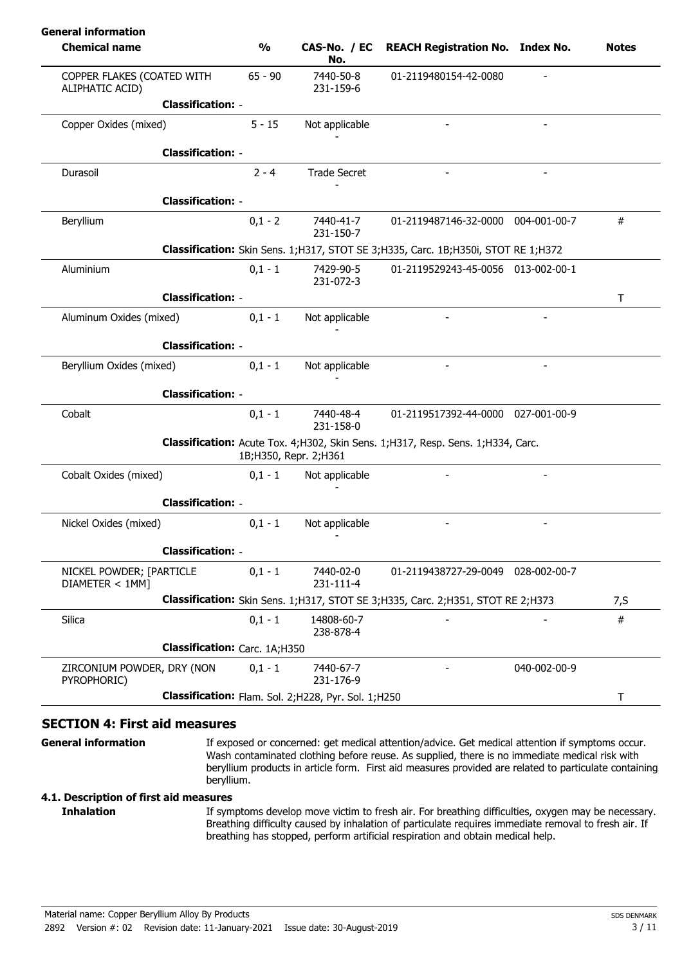| <b>Chemical name</b>                          | $\frac{0}{0}$ | CAS-No. / EC<br>No.                                 | <b>REACH Registration No. Index No.</b>                                               |              | <b>Notes</b> |
|-----------------------------------------------|---------------|-----------------------------------------------------|---------------------------------------------------------------------------------------|--------------|--------------|
| COPPER FLAKES (COATED WITH<br>ALIPHATIC ACID) | $65 - 90$     | 7440-50-8<br>231-159-6                              | 01-2119480154-42-0080                                                                 |              |              |
| <b>Classification: -</b>                      |               |                                                     |                                                                                       |              |              |
| Copper Oxides (mixed)                         | $5 - 15$      | Not applicable                                      |                                                                                       |              |              |
| <b>Classification: -</b>                      |               |                                                     |                                                                                       |              |              |
| Durasoil                                      | $2 - 4$       | <b>Trade Secret</b>                                 |                                                                                       |              |              |
| <b>Classification: -</b>                      |               |                                                     |                                                                                       |              |              |
| Beryllium                                     | $0,1 - 2$     | 7440-41-7<br>231-150-7                              | 01-2119487146-32-0000 004-001-00-7                                                    |              | $\#$         |
|                                               |               |                                                     | Classification: Skin Sens. 1; H317, STOT SE 3; H335, Carc. 1B; H350i, STOT RE 1; H372 |              |              |
| Aluminium                                     | $0,1 - 1$     | 7429-90-5<br>231-072-3                              | 01-2119529243-45-0056 013-002-00-1                                                    |              |              |
| <b>Classification: -</b>                      |               |                                                     |                                                                                       |              | T            |
| Aluminum Oxides (mixed)                       | $0,1 - 1$     | Not applicable                                      |                                                                                       |              |              |
| <b>Classification: -</b>                      |               |                                                     |                                                                                       |              |              |
| Beryllium Oxides (mixed)                      | $0,1 - 1$     | Not applicable                                      |                                                                                       |              |              |
| <b>Classification: -</b>                      |               |                                                     |                                                                                       |              |              |
| Cobalt                                        | $0,1 - 1$     | 7440-48-4<br>231-158-0                              | 01-2119517392-44-0000 027-001-00-9                                                    |              |              |
|                                               |               | 1B; H350, Repr. 2; H361                             | Classification: Acute Tox. 4; H302, Skin Sens. 1; H317, Resp. Sens. 1; H334, Carc.    |              |              |
| Cobalt Oxides (mixed)                         | $0,1 - 1$     | Not applicable                                      |                                                                                       |              |              |
| <b>Classification: -</b>                      |               |                                                     |                                                                                       |              |              |
| Nickel Oxides (mixed)                         | $0,1 - 1$     | Not applicable                                      |                                                                                       |              |              |
| <b>Classification: -</b>                      |               |                                                     |                                                                                       |              |              |
| NICKEL POWDER; [PARTICLE<br>DIAMETER < 1MM]   | $0,1 - 1$     | 7440-02-0<br>231-111-4                              | 01-2119438727-29-0049 028-002-00-7                                                    |              |              |
|                                               |               |                                                     | Classification: Skin Sens. 1; H317, STOT SE 3; H335, Carc. 2; H351, STOT RE 2; H373   |              | 7, S         |
| Silica                                        | $0,1 - 1$     | 14808-60-7<br>238-878-4                             |                                                                                       |              | $\#$         |
| Classification: Carc. 1A;H350                 |               |                                                     |                                                                                       |              |              |
| ZIRCONIUM POWDER, DRY (NON<br>PYROPHORIC)     | $0,1 - 1$     | 7440-67-7<br>231-176-9                              |                                                                                       | 040-002-00-9 |              |
|                                               |               | Classification: Flam. Sol. 2;H228, Pyr. Sol. 1;H250 |                                                                                       |              | T            |

### **SECTION 4: First aid measures**

**General information**

If exposed or concerned: get medical attention/advice. Get medical attention if symptoms occur. Wash contaminated clothing before reuse. As supplied, there is no immediate medical risk with beryllium products in article form. First aid measures provided are related to particulate containing beryllium.

### **4.1. Description of first aid measures**

If symptoms develop move victim to fresh air. For breathing difficulties, oxygen may be necessary. Breathing difficulty caused by inhalation of particulate requires immediate removal to fresh air. If breathing has stopped, perform artificial respiration and obtain medical help. **Inhalation**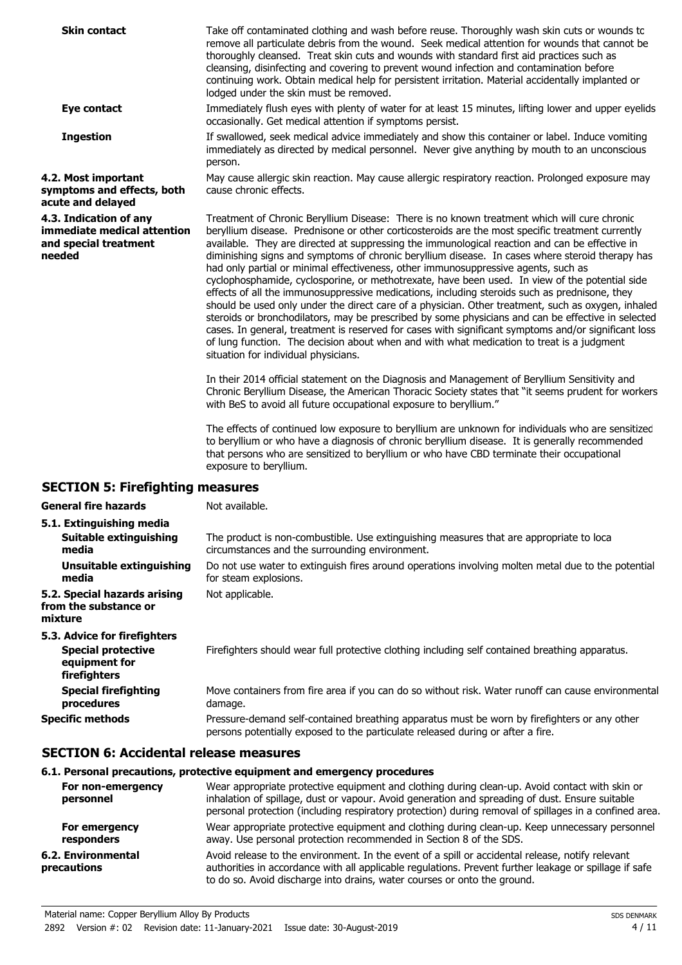| <b>Skin contact</b>                                                                      | Take off contaminated clothing and wash before reuse. Thoroughly wash skin cuts or wounds to<br>remove all particulate debris from the wound. Seek medical attention for wounds that cannot be<br>thoroughly cleansed. Treat skin cuts and wounds with standard first aid practices such as<br>cleansing, disinfecting and covering to prevent wound infection and contamination before<br>continuing work. Obtain medical help for persistent irritation. Material accidentally implanted or<br>lodged under the skin must be removed.                                                                                                                                                                                                                                                                                                                                                                                                                                                                                                                                                                                                                                                                                                                                                                                                                                                                                            |
|------------------------------------------------------------------------------------------|------------------------------------------------------------------------------------------------------------------------------------------------------------------------------------------------------------------------------------------------------------------------------------------------------------------------------------------------------------------------------------------------------------------------------------------------------------------------------------------------------------------------------------------------------------------------------------------------------------------------------------------------------------------------------------------------------------------------------------------------------------------------------------------------------------------------------------------------------------------------------------------------------------------------------------------------------------------------------------------------------------------------------------------------------------------------------------------------------------------------------------------------------------------------------------------------------------------------------------------------------------------------------------------------------------------------------------------------------------------------------------------------------------------------------------|
| Eye contact                                                                              | Immediately flush eyes with plenty of water for at least 15 minutes, lifting lower and upper eyelids<br>occasionally. Get medical attention if symptoms persist.                                                                                                                                                                                                                                                                                                                                                                                                                                                                                                                                                                                                                                                                                                                                                                                                                                                                                                                                                                                                                                                                                                                                                                                                                                                                   |
| <b>Ingestion</b>                                                                         | If swallowed, seek medical advice immediately and show this container or label. Induce vomiting<br>immediately as directed by medical personnel. Never give anything by mouth to an unconscious<br>person.                                                                                                                                                                                                                                                                                                                                                                                                                                                                                                                                                                                                                                                                                                                                                                                                                                                                                                                                                                                                                                                                                                                                                                                                                         |
| 4.2. Most important<br>symptoms and effects, both<br>acute and delayed                   | May cause allergic skin reaction. May cause allergic respiratory reaction. Prolonged exposure may<br>cause chronic effects.                                                                                                                                                                                                                                                                                                                                                                                                                                                                                                                                                                                                                                                                                                                                                                                                                                                                                                                                                                                                                                                                                                                                                                                                                                                                                                        |
| 4.3. Indication of any<br>immediate medical attention<br>and special treatment<br>needed | Treatment of Chronic Beryllium Disease: There is no known treatment which will cure chronic<br>beryllium disease. Prednisone or other corticosteroids are the most specific treatment currently<br>available. They are directed at suppressing the immunological reaction and can be effective in<br>diminishing signs and symptoms of chronic beryllium disease. In cases where steroid therapy has<br>had only partial or minimal effectiveness, other immunosuppressive agents, such as<br>cyclophosphamide, cyclosporine, or methotrexate, have been used. In view of the potential side<br>effects of all the immunosuppressive medications, including steroids such as prednisone, they<br>should be used only under the direct care of a physician. Other treatment, such as oxygen, inhaled<br>steroids or bronchodilators, may be prescribed by some physicians and can be effective in selected<br>cases. In general, treatment is reserved for cases with significant symptoms and/or significant loss<br>of lung function. The decision about when and with what medication to treat is a judgment<br>situation for individual physicians.<br>In their 2014 official statement on the Diagnosis and Management of Beryllium Sensitivity and<br>Chronic Beryllium Disease, the American Thoracic Society states that "it seems prudent for workers<br>with BeS to avoid all future occupational exposure to beryllium." |
|                                                                                          | The effects of continued low exposure to beryllium are unknown for individuals who are sensitized<br>to beryllium or who have a diagnosis of chronic beryllium disease. It is generally recommended<br>that persons who are sensitized to beryllium or who have CBD terminate their occupational<br>exposure to beryllium.                                                                                                                                                                                                                                                                                                                                                                                                                                                                                                                                                                                                                                                                                                                                                                                                                                                                                                                                                                                                                                                                                                         |
| <b>SECTION 5: Firefighting measures</b>                                                  |                                                                                                                                                                                                                                                                                                                                                                                                                                                                                                                                                                                                                                                                                                                                                                                                                                                                                                                                                                                                                                                                                                                                                                                                                                                                                                                                                                                                                                    |
|                                                                                          |                                                                                                                                                                                                                                                                                                                                                                                                                                                                                                                                                                                                                                                                                                                                                                                                                                                                                                                                                                                                                                                                                                                                                                                                                                                                                                                                                                                                                                    |

| <b>General fire hazards</b>                                                                | Not available.                                                                                                                                                                  |
|--------------------------------------------------------------------------------------------|---------------------------------------------------------------------------------------------------------------------------------------------------------------------------------|
| 5.1. Extinguishing media                                                                   |                                                                                                                                                                                 |
| Suitable extinguishing<br>media                                                            | The product is non-combustible. Use extinguishing measures that are appropriate to loca<br>circumstances and the surrounding environment.                                       |
| Unsuitable extinguishing<br>media                                                          | Do not use water to extinguish fires around operations involving molten metal due to the potential<br>for steam explosions.                                                     |
| 5.2. Special hazards arising<br>from the substance or<br>mixture                           | Not applicable.                                                                                                                                                                 |
| 5.3. Advice for firefighters<br><b>Special protective</b><br>equipment for<br>firefighters | Firefighters should wear full protective clothing including self contained breathing apparatus.                                                                                 |
| <b>Special firefighting</b><br>procedures                                                  | Move containers from fire area if you can do so without risk. Water runoff can cause environmental<br>damage.                                                                   |
| <b>Specific methods</b>                                                                    | Pressure-demand self-contained breathing apparatus must be worn by firefighters or any other<br>persons potentially exposed to the particulate released during or after a fire. |

# **SECTION 6: Accidental release measures**

### **6.1. Personal precautions, protective equipment and emergency procedures**

| For non-emergency<br>personnel    | Wear appropriate protective equipment and clothing during clean-up. Avoid contact with skin or<br>inhalation of spillage, dust or vapour. Avoid generation and spreading of dust. Ensure suitable<br>personal protection (including respiratory protection) during removal of spillages in a confined area. |
|-----------------------------------|-------------------------------------------------------------------------------------------------------------------------------------------------------------------------------------------------------------------------------------------------------------------------------------------------------------|
| For emergency<br>responders       | Wear appropriate protective equipment and clothing during clean-up. Keep unnecessary personnel<br>away. Use personal protection recommended in Section 8 of the SDS.                                                                                                                                        |
| 6.2. Environmental<br>precautions | Avoid release to the environment. In the event of a spill or accidental release, notify relevant<br>authorities in accordance with all applicable regulations. Prevent further leakage or spillage if safe<br>to do so. Avoid discharge into drains, water courses or onto the ground.                      |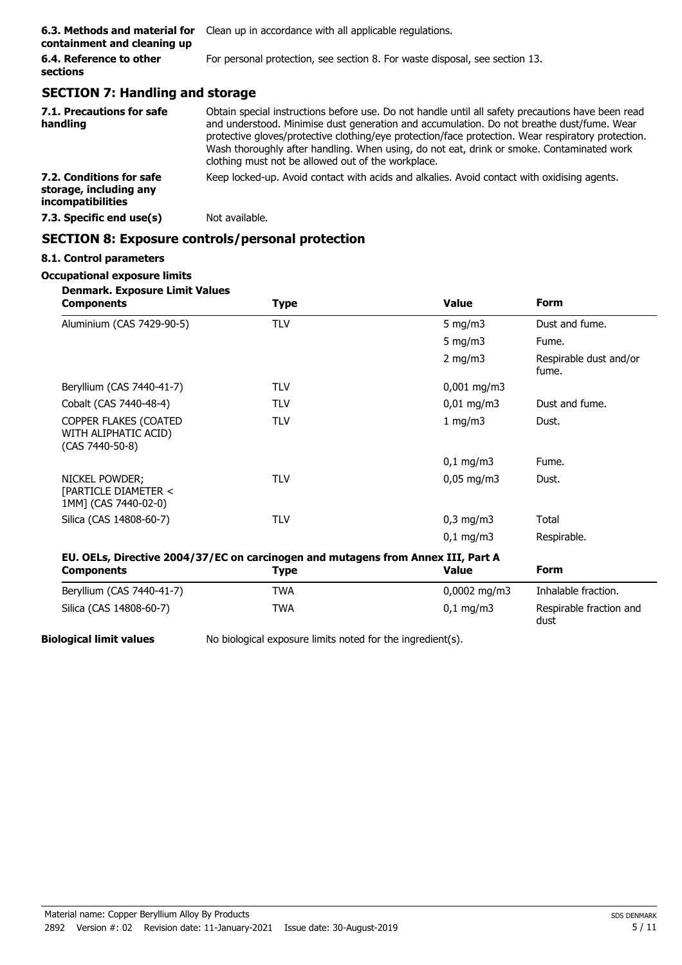| containment and cleaning up         | <b>6.3. Methods and material for</b> Clean up in accordance with all applicable regulations. |
|-------------------------------------|----------------------------------------------------------------------------------------------|
| 6.4. Reference to other<br>sections | For personal protection, see section 8. For waste disposal, see section 13.                  |
|                                     |                                                                                              |

# **SECTION 7: Handling and storage**

| 7.1. Precautions for safe<br>handling                                          | Obtain special instructions before use. Do not handle until all safety precautions have been read<br>and understood. Minimise dust generation and accumulation. Do not breathe dust/fume. Wear<br>protective gloves/protective clothing/eye protection/face protection. Wear respiratory protection.<br>Wash thoroughly after handling. When using, do not eat, drink or smoke. Contaminated work<br>clothing must not be allowed out of the workplace. |
|--------------------------------------------------------------------------------|---------------------------------------------------------------------------------------------------------------------------------------------------------------------------------------------------------------------------------------------------------------------------------------------------------------------------------------------------------------------------------------------------------------------------------------------------------|
| 7.2. Conditions for safe<br>storage, including any<br><i>incompatibilities</i> | Keep locked-up. Avoid contact with acids and alkalies. Avoid contact with oxidising agents.                                                                                                                                                                                                                                                                                                                                                             |
| 7.3. Specific end use(s)                                                       | Not available.                                                                                                                                                                                                                                                                                                                                                                                                                                          |

## **SECTION 8: Exposure controls/personal protection**

# **8.1. Control parameters**

#### **Occupational exposure limits Denmark. Exposure Limit Values**

| Denmark. Exposure Limit values<br><b>Components</b>                              | Type       | <b>Value</b>           | <b>Form</b>                     |
|----------------------------------------------------------------------------------|------------|------------------------|---------------------------------|
| Aluminium (CAS 7429-90-5)                                                        | <b>TLV</b> | 5 mg/m $3$             | Dust and fume.                  |
|                                                                                  |            | 5 mg/m $3$             | Fume.                           |
|                                                                                  |            | 2 mg/m $3$             | Respirable dust and/or<br>fume. |
| Beryllium (CAS 7440-41-7)                                                        | <b>TLV</b> | $0,001$ mg/m3          |                                 |
| Cobalt (CAS 7440-48-4)                                                           | <b>TLV</b> | $0,01$ mg/m3           | Dust and fume.                  |
| COPPER FLAKES (COATED<br>WITH ALIPHATIC ACID)<br>(CAS 7440-50-8)                 | <b>TLV</b> | 1 mg/m $3$             | Dust.                           |
|                                                                                  |            | $0,1$ mg/m3            | Fume.                           |
| NICKEL POWDER;<br>[PARTICLE DIAMETER <<br>1MM] (CAS 7440-02-0)                   | <b>TLV</b> | $0,05 \,\mathrm{mg/m}$ | Dust.                           |
| Silica (CAS 14808-60-7)                                                          | <b>TLV</b> | $0,3$ mg/m $3$         | Total                           |
|                                                                                  |            | $0,1 \, \text{mg/m}$   | Respirable.                     |
| EU. OELs, Directive 2004/37/EC on carcinogen and mutagens from Annex III, Part A |            |                        |                                 |
| <b>Components</b>                                                                | Type       | <b>Value</b>           | <b>Form</b>                     |
| Beryllium (CAS 7440-41-7)                                                        | TWA        | $0,0002$ mg/m3         | Inhalable fraction.             |
| Silica (CAS 14808-60-7)                                                          | TWA        | $0,1$ mg/m3            | Respirable fraction and<br>dust |

**Biological limit values** No biological exposure limits noted for the ingredient(s).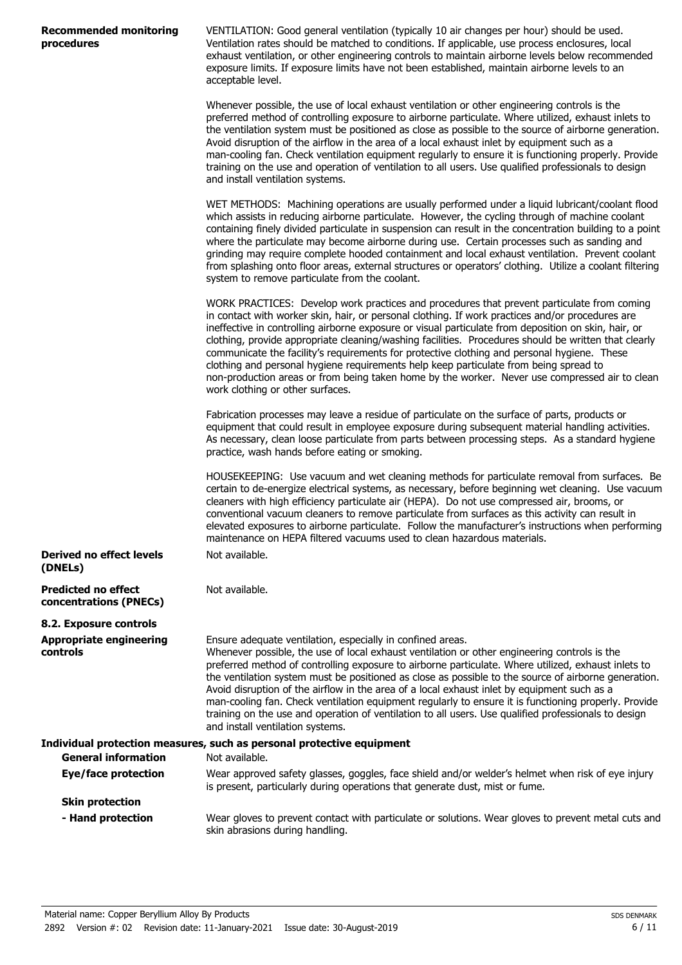| <b>Recommended monitoring</b> |  |
|-------------------------------|--|
| procedures                    |  |

VENTILATION: Good general ventilation (typically 10 air changes per hour) should be used. Ventilation rates should be matched to conditions. If applicable, use process enclosures, local exhaust ventilation, or other engineering controls to maintain airborne levels below recommended exposure limits. If exposure limits have not been established, maintain airborne levels to an acceptable level.

Whenever possible, the use of local exhaust ventilation or other engineering controls is the preferred method of controlling exposure to airborne particulate. Where utilized, exhaust inlets to the ventilation system must be positioned as close as possible to the source of airborne generation. Avoid disruption of the airflow in the area of a local exhaust inlet by equipment such as a man-cooling fan. Check ventilation equipment regularly to ensure it is functioning properly. Provide training on the use and operation of ventilation to all users. Use qualified professionals to design and install ventilation systems.

WET METHODS: Machining operations are usually performed under a liquid lubricant/coolant flood which assists in reducing airborne particulate. However, the cycling through of machine coolant containing finely divided particulate in suspension can result in the concentration building to a point where the particulate may become airborne during use. Certain processes such as sanding and grinding may require complete hooded containment and local exhaust ventilation. Prevent coolant from splashing onto floor areas, external structures or operators' clothing. Utilize a coolant filtering system to remove particulate from the coolant.

WORK PRACTICES: Develop work practices and procedures that prevent particulate from coming in contact with worker skin, hair, or personal clothing. If work practices and/or procedures are ineffective in controlling airborne exposure or visual particulate from deposition on skin, hair, or clothing, provide appropriate cleaning/washing facilities. Procedures should be written that clearly communicate the facility's requirements for protective clothing and personal hygiene. These clothing and personal hygiene requirements help keep particulate from being spread to non-production areas or from being taken home by the worker. Never use compressed air to clean work clothing or other surfaces.

Fabrication processes may leave a residue of particulate on the surface of parts, products or equipment that could result in employee exposure during subsequent material handling activities. As necessary, clean loose particulate from parts between processing steps. As a standard hygiene practice, wash hands before eating or smoking.

HOUSEKEEPING: Use vacuum and wet cleaning methods for particulate removal from surfaces. Be certain to de-energize electrical systems, as necessary, before beginning wet cleaning. Use vacuum cleaners with high efficiency particulate air (HEPA). Do not use compressed air, brooms, or conventional vacuum cleaners to remove particulate from surfaces as this activity can result in elevated exposures to airborne particulate. Follow the manufacturer's instructions when performing maintenance on HEPA filtered vacuums used to clean hazardous materials. Not available.

**Derived no effect levels (DNELs)**

**Predicted no effect concentrations (PNECs)**

**8.2. Exposure controls Appropriate engineering controls**

Ensure adequate ventilation, especially in confined areas. Whenever possible, the use of local exhaust ventilation or other engineering controls is the preferred method of controlling exposure to airborne particulate. Where utilized, exhaust inlets to the ventilation system must be positioned as close as possible to the source of airborne generation. Avoid disruption of the airflow in the area of a local exhaust inlet by equipment such as a man-cooling fan. Check ventilation equipment regularly to ensure it is functioning properly. Provide training on the use and operation of ventilation to all users. Use qualified professionals to design and install ventilation systems.

|                            | Individual protection measures, such as personal protective equipment                                                                                                             |
|----------------------------|-----------------------------------------------------------------------------------------------------------------------------------------------------------------------------------|
| <b>General information</b> | Not available.                                                                                                                                                                    |
| Eye/face protection        | Wear approved safety glasses, goggles, face shield and/or welder's helmet when risk of eye injury<br>is present, particularly during operations that generate dust, mist or fume. |
| <b>Skin protection</b>     |                                                                                                                                                                                   |
| - Hand protection          | Wear gloves to prevent contact with particulate or solutions. Wear gloves to prevent metal cuts and<br>skin abrasions during handling.                                            |

Not available.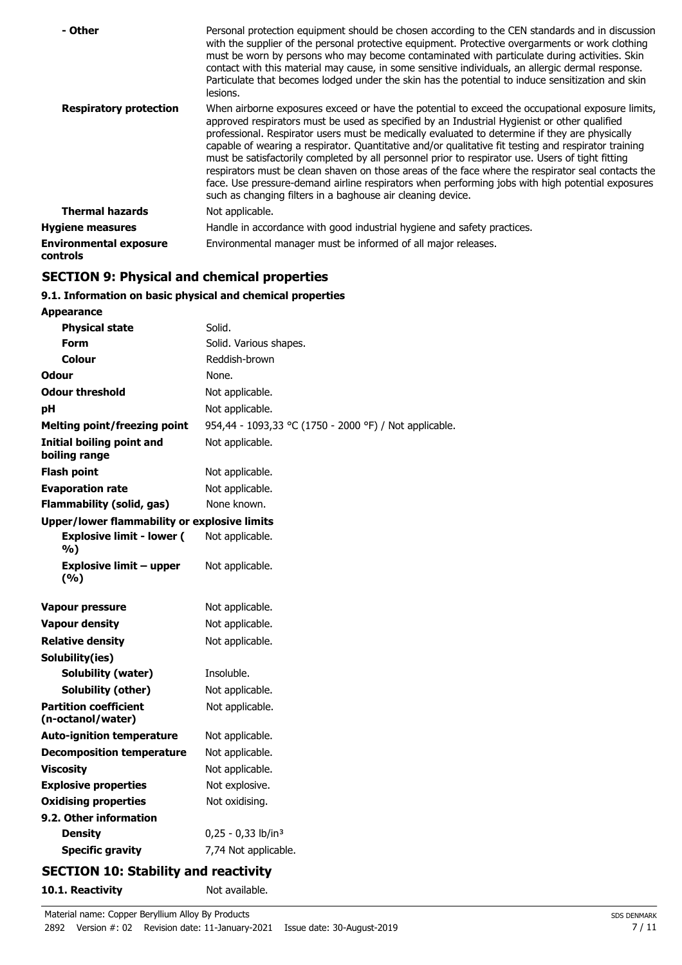| - Other                                   | Personal protection equipment should be chosen according to the CEN standards and in discussion<br>with the supplier of the personal protective equipment. Protective overgarments or work clothing<br>must be worn by persons who may become contaminated with particulate during activities. Skin<br>contact with this material may cause, in some sensitive individuals, an allergic dermal response.<br>Particulate that becomes lodged under the skin has the potential to induce sensitization and skin<br>lesions.                                                                                                                                                                                                                                                                |
|-------------------------------------------|------------------------------------------------------------------------------------------------------------------------------------------------------------------------------------------------------------------------------------------------------------------------------------------------------------------------------------------------------------------------------------------------------------------------------------------------------------------------------------------------------------------------------------------------------------------------------------------------------------------------------------------------------------------------------------------------------------------------------------------------------------------------------------------|
| <b>Respiratory protection</b>             | When airborne exposures exceed or have the potential to exceed the occupational exposure limits,<br>approved respirators must be used as specified by an Industrial Hygienist or other qualified<br>professional. Respirator users must be medically evaluated to determine if they are physically<br>capable of wearing a respirator. Quantitative and/or qualitative fit testing and respirator training<br>must be satisfactorily completed by all personnel prior to respirator use. Users of tight fitting<br>respirators must be clean shaven on those areas of the face where the respirator seal contacts the<br>face. Use pressure-demand airline respirators when performing jobs with high potential exposures<br>such as changing filters in a baghouse air cleaning device. |
| <b>Thermal hazards</b>                    | Not applicable.                                                                                                                                                                                                                                                                                                                                                                                                                                                                                                                                                                                                                                                                                                                                                                          |
| <b>Hygiene measures</b>                   | Handle in accordance with good industrial hygiene and safety practices.                                                                                                                                                                                                                                                                                                                                                                                                                                                                                                                                                                                                                                                                                                                  |
| <b>Environmental exposure</b><br>controls | Environmental manager must be informed of all major releases.                                                                                                                                                                                                                                                                                                                                                                                                                                                                                                                                                                                                                                                                                                                            |

# **SECTION 9: Physical and chemical properties**

# **9.1. Information on basic physical and chemical properties**

| <b>Appearance</b>                                   |                                                        |
|-----------------------------------------------------|--------------------------------------------------------|
| <b>Physical state</b>                               | Solid.                                                 |
| Form                                                | Solid. Various shapes.                                 |
| Colour                                              | Reddish-brown                                          |
| <b>Odour</b>                                        | None.                                                  |
| <b>Odour threshold</b>                              | Not applicable.                                        |
| рH                                                  | Not applicable.                                        |
| <b>Melting point/freezing point</b>                 | 954,44 - 1093,33 °C (1750 - 2000 °F) / Not applicable. |
| <b>Initial boiling point and</b><br>boiling range   | Not applicable.                                        |
| <b>Flash point</b>                                  | Not applicable.                                        |
| <b>Evaporation rate</b>                             | Not applicable.                                        |
| <b>Flammability (solid, gas)</b>                    | None known.                                            |
| <b>Upper/lower flammability or explosive limits</b> |                                                        |
| <b>Explosive limit - lower (</b><br>%)              | Not applicable.                                        |
| <b>Explosive limit - upper</b><br>(9/6)             | Not applicable.                                        |
| Vapour pressure                                     | Not applicable.                                        |
| <b>Vapour density</b>                               | Not applicable.                                        |
| <b>Relative density</b>                             | Not applicable.                                        |
| Solubility(ies)                                     |                                                        |
| Solubility (water)                                  | Insoluble.                                             |
| Solubility (other)                                  | Not applicable.                                        |
| <b>Partition coefficient</b><br>(n-octanol/water)   | Not applicable.                                        |
| <b>Auto-ignition temperature</b>                    | Not applicable.                                        |
| <b>Decomposition temperature</b>                    | Not applicable.                                        |
| <b>Viscosity</b>                                    | Not applicable.                                        |
| <b>Explosive properties</b>                         | Not explosive.                                         |
| <b>Oxidising properties</b>                         | Not oxidising.                                         |
| 9.2. Other information                              |                                                        |
| <b>Density</b>                                      | $0,25 - 0,33$ lb/in <sup>3</sup>                       |
| <b>Specific gravity</b>                             | 7,74 Not applicable.                                   |
|                                                     | .                                                      |

# **SECTION 10: Stability and reactivity**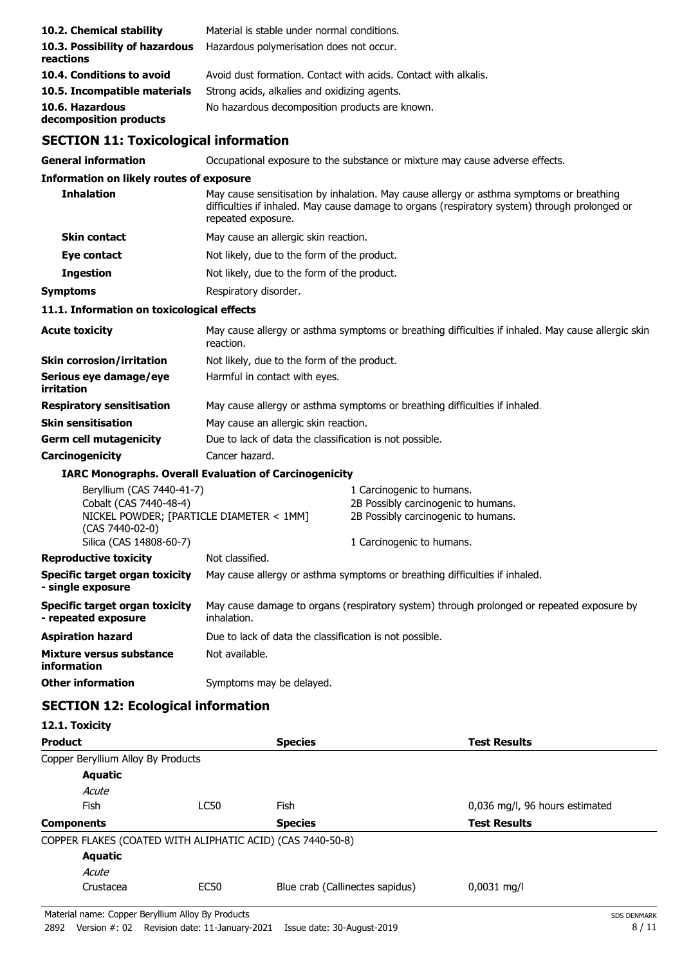| 10.2. Chemical stability                                                                                                                      | Material is stable under normal conditions.                     |                                                                                                                                                                                           |  |
|-----------------------------------------------------------------------------------------------------------------------------------------------|-----------------------------------------------------------------|-------------------------------------------------------------------------------------------------------------------------------------------------------------------------------------------|--|
| 10.3. Possibility of hazardous<br>reactions                                                                                                   | Hazardous polymerisation does not occur.                        |                                                                                                                                                                                           |  |
| 10.4. Conditions to avoid                                                                                                                     | Avoid dust formation. Contact with acids. Contact with alkalis. |                                                                                                                                                                                           |  |
| 10.5. Incompatible materials                                                                                                                  | Strong acids, alkalies and oxidizing agents.                    |                                                                                                                                                                                           |  |
| 10.6. Hazardous<br>decomposition products                                                                                                     | No hazardous decomposition products are known.                  |                                                                                                                                                                                           |  |
| <b>SECTION 11: Toxicological information</b>                                                                                                  |                                                                 |                                                                                                                                                                                           |  |
| <b>General information</b>                                                                                                                    |                                                                 | Occupational exposure to the substance or mixture may cause adverse effects.                                                                                                              |  |
| <b>Information on likely routes of exposure</b>                                                                                               |                                                                 |                                                                                                                                                                                           |  |
| <b>Inhalation</b>                                                                                                                             | repeated exposure.                                              | May cause sensitisation by inhalation. May cause allergy or asthma symptoms or breathing<br>difficulties if inhaled. May cause damage to organs (respiratory system) through prolonged or |  |
| <b>Skin contact</b>                                                                                                                           | May cause an allergic skin reaction.                            |                                                                                                                                                                                           |  |
| Eye contact                                                                                                                                   | Not likely, due to the form of the product.                     |                                                                                                                                                                                           |  |
| <b>Ingestion</b>                                                                                                                              | Not likely, due to the form of the product.                     |                                                                                                                                                                                           |  |
| <b>Symptoms</b>                                                                                                                               | Respiratory disorder.                                           |                                                                                                                                                                                           |  |
| 11.1. Information on toxicological effects                                                                                                    |                                                                 |                                                                                                                                                                                           |  |
| <b>Acute toxicity</b>                                                                                                                         | reaction.                                                       | May cause allergy or asthma symptoms or breathing difficulties if inhaled. May cause allergic skin                                                                                        |  |
| <b>Skin corrosion/irritation</b>                                                                                                              | Not likely, due to the form of the product.                     |                                                                                                                                                                                           |  |
| Serious eye damage/eye<br>irritation                                                                                                          | Harmful in contact with eyes.                                   |                                                                                                                                                                                           |  |
| <b>Respiratory sensitisation</b>                                                                                                              |                                                                 | May cause allergy or asthma symptoms or breathing difficulties if inhaled.                                                                                                                |  |
| <b>Skin sensitisation</b>                                                                                                                     | May cause an allergic skin reaction.                            |                                                                                                                                                                                           |  |
| <b>Germ cell mutagenicity</b>                                                                                                                 | Due to lack of data the classification is not possible.         |                                                                                                                                                                                           |  |
| Carcinogenicity                                                                                                                               | Cancer hazard.                                                  |                                                                                                                                                                                           |  |
|                                                                                                                                               | <b>IARC Monographs. Overall Evaluation of Carcinogenicity</b>   |                                                                                                                                                                                           |  |
| Beryllium (CAS 7440-41-7)<br>Cobalt (CAS 7440-48-4)<br>NICKEL POWDER; [PARTICLE DIAMETER < 1MM]<br>(CAS 7440-02-0)<br>Silica (CAS 14808-60-7) |                                                                 | 1 Carcinogenic to humans.<br>2B Possibly carcinogenic to humans.<br>2B Possibly carcinogenic to humans.<br>1 Carcinogenic to humans.                                                      |  |
| <b>Reproductive toxicity</b>                                                                                                                  | Not classified.                                                 |                                                                                                                                                                                           |  |
| <b>Specific target organ toxicity</b><br>- single exposure                                                                                    |                                                                 | May cause allergy or asthma symptoms or breathing difficulties if inhaled.                                                                                                                |  |
| <b>Specific target organ toxicity</b><br>- repeated exposure                                                                                  | inhalation.                                                     | May cause damage to organs (respiratory system) through prolonged or repeated exposure by                                                                                                 |  |
| <b>Aspiration hazard</b>                                                                                                                      | Due to lack of data the classification is not possible.         |                                                                                                                                                                                           |  |
| Mixture versus substance<br><b>information</b>                                                                                                | Not available.                                                  |                                                                                                                                                                                           |  |
| <b>Other information</b>                                                                                                                      | Symptoms may be delayed.                                        |                                                                                                                                                                                           |  |

# **SECTION 12: Ecological information**

| 12.1. Toxicity                                             |      |                                 |                                |
|------------------------------------------------------------|------|---------------------------------|--------------------------------|
| <b>Product</b>                                             |      | <b>Species</b>                  | <b>Test Results</b>            |
| Copper Beryllium Alloy By Products                         |      |                                 |                                |
| <b>Aquatic</b>                                             |      |                                 |                                |
| Acute                                                      |      |                                 |                                |
| <b>Fish</b>                                                | LC50 | Fish                            | 0,036 mg/l, 96 hours estimated |
| <b>Components</b>                                          |      | <b>Species</b>                  | <b>Test Results</b>            |
| COPPER FLAKES (COATED WITH ALIPHATIC ACID) (CAS 7440-50-8) |      |                                 |                                |
| <b>Aquatic</b>                                             |      |                                 |                                |
| Acute                                                      |      |                                 |                                |
| Crustacea                                                  | EC50 | Blue crab (Callinectes sapidus) | $0,0031$ mg/l                  |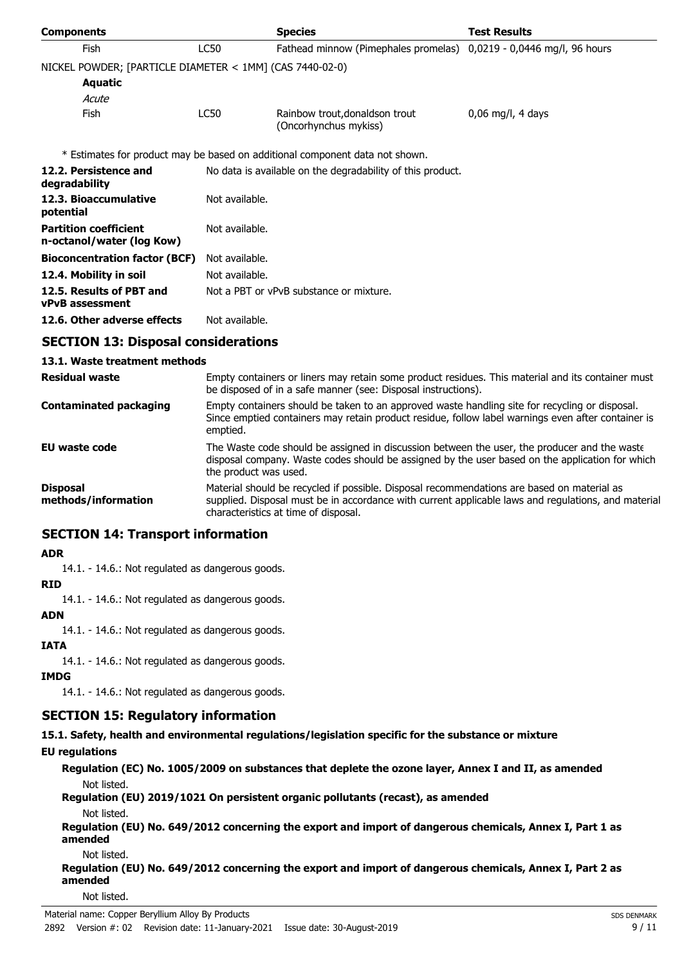| <b>Components</b>                                         |                | <b>Species</b>                                                               | <b>Test Results</b> |
|-----------------------------------------------------------|----------------|------------------------------------------------------------------------------|---------------------|
| <b>Fish</b>                                               | <b>LC50</b>    | Fathead minnow (Pimephales promelas) 0,0219 - 0,0446 mg/l, 96 hours          |                     |
| NICKEL POWDER; [PARTICLE DIAMETER < 1MM] (CAS 7440-02-0)  |                |                                                                              |                     |
| <b>Aquatic</b>                                            |                |                                                                              |                     |
| Acute                                                     |                |                                                                              |                     |
| <b>Fish</b>                                               | LC50           | Rainbow trout, donaldson trout<br>(Oncorhynchus mykiss)                      | $0,06$ mg/l, 4 days |
|                                                           |                | * Estimates for product may be based on additional component data not shown. |                     |
| 12.2. Persistence and<br>degradability                    |                | No data is available on the degradability of this product.                   |                     |
| 12.3. Bioaccumulative<br>potential                        | Not available. |                                                                              |                     |
| <b>Partition coefficient</b><br>n-octanol/water (log Kow) | Not available. |                                                                              |                     |
| <b>Bioconcentration factor (BCF)</b>                      | Not available. |                                                                              |                     |
| 12.4. Mobility in soil                                    | Not available. |                                                                              |                     |
| 12.5. Results of PBT and<br><b>vPvB</b> assessment        |                | Not a PBT or vPvB substance or mixture.                                      |                     |
| 12.6. Other adverse effects                               | Not available. |                                                                              |                     |
| CECTION 12. Disposal considerations                       |                |                                                                              |                     |

# **SECTION 13: Disposal considerations**

### **13.1. Waste treatment methods**

| <b>Residual waste</b>                  | Empty containers or liners may retain some product residues. This material and its container must<br>be disposed of in a safe manner (see: Disposal instructions).                                                                        |
|----------------------------------------|-------------------------------------------------------------------------------------------------------------------------------------------------------------------------------------------------------------------------------------------|
| <b>Contaminated packaging</b>          | Empty containers should be taken to an approved waste handling site for recycling or disposal.<br>Since emptied containers may retain product residue, follow label warnings even after container is<br>emptied.                          |
| EU waste code                          | The Waste code should be assigned in discussion between the user, the producer and the waste<br>disposal company. Waste codes should be assigned by the user based on the application for which<br>the product was used.                  |
| <b>Disposal</b><br>methods/information | Material should be recycled if possible. Disposal recommendations are based on material as<br>supplied. Disposal must be in accordance with current applicable laws and regulations, and material<br>characteristics at time of disposal. |

## **SECTION 14: Transport information**

### **ADR**

14.1. - 14.6.: Not regulated as dangerous goods.

### **RID**

14.1. - 14.6.: Not regulated as dangerous goods.

### **ADN**

14.1. - 14.6.: Not regulated as dangerous goods.

### **IATA**

14.1. - 14.6.: Not regulated as dangerous goods.

### **IMDG**

14.1. - 14.6.: Not regulated as dangerous goods.

# **SECTION 15: Regulatory information**

**15.1. Safety, health and environmental regulations/legislation specific for the substance or mixture**

## **EU regulations**

**Regulation (EC) No. 1005/2009 on substances that deplete the ozone layer, Annex I and II, as amended** Not listed.

# **Regulation (EU) 2019/1021 On persistent organic pollutants (recast), as amended**

Not listed.

**Regulation (EU) No. 649/2012 concerning the export and import of dangerous chemicals, Annex I, Part 1 as amended**

Not listed.

**Regulation (EU) No. 649/2012 concerning the export and import of dangerous chemicals, Annex I, Part 2 as amended**

Not listed.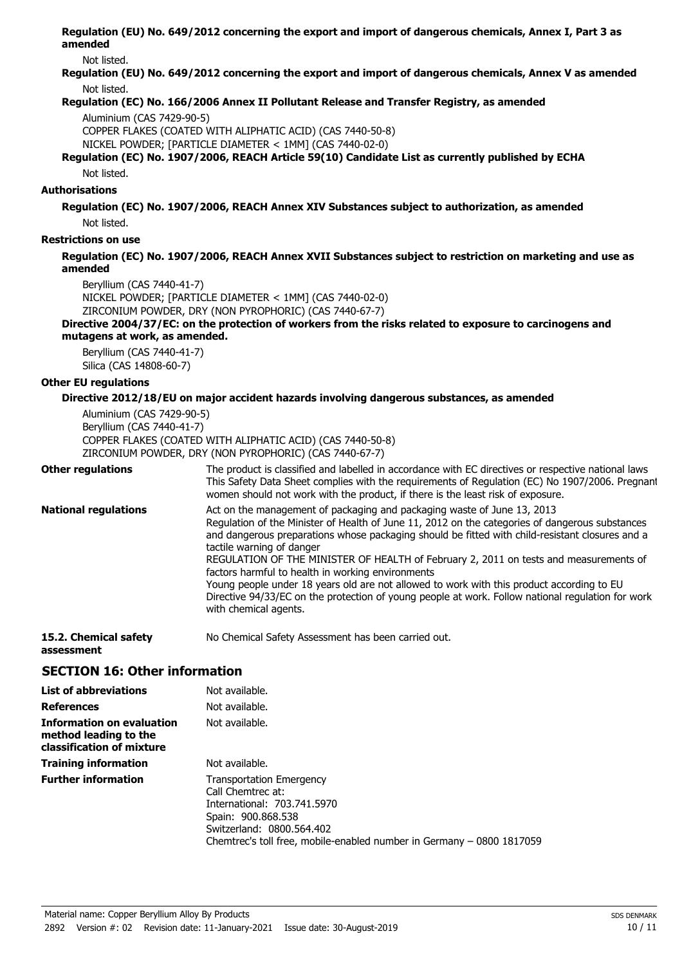**Regulation (EU) No. 649/2012 concerning the export and import of dangerous chemicals, Annex I, Part 3 as amended**

Not listed.

**Regulation (EU) No. 649/2012 concerning the export and import of dangerous chemicals, Annex V as amended** Not listed.

### **Regulation (EC) No. 166/2006 Annex II Pollutant Release and Transfer Registry, as amended**

Aluminium (CAS 7429-90-5)

COPPER FLAKES (COATED WITH ALIPHATIC ACID) (CAS 7440-50-8)

NICKEL POWDER; [PARTICLE DIAMETER < 1MM] (CAS 7440-02-0)

### **Regulation (EC) No. 1907/2006, REACH Article 59(10) Candidate List as currently published by ECHA** Not listed.

### **Authorisations**

**Regulation (EC) No. 1907/2006, REACH Annex XIV Substances subject to authorization, as amended** Not listed.

**Restrictions on use**

**Regulation (EC) No. 1907/2006, REACH Annex XVII Substances subject to restriction on marketing and use as amended**

Beryllium (CAS 7440-41-7)

NICKEL POWDER; [PARTICLE DIAMETER < 1MM] (CAS 7440-02-0)

ZIRCONIUM POWDER, DRY (NON PYROPHORIC) (CAS 7440-67-7)

#### **Directive 2004/37/EC: on the protection of workers from the risks related to exposure to carcinogens and mutagens at work, as amended.**

Beryllium (CAS 7440-41-7) Silica (CAS 14808-60-7)

### **Other EU regulations**

### **Directive 2012/18/EU on major accident hazards involving dangerous substances, as amended**

Aluminium (CAS 7429-90-5) Beryllium (CAS 7440-41-7) COPPER FLAKES (COATED WITH ALIPHATIC ACID) (CAS 7440-50-8) ZIRCONIUM POWDER, DRY (NON PYROPHORIC) (CAS 7440-67-7)

| <b>Other regulations</b>    | The product is classified and labelled in accordance with EC directives or respective national laws.<br>This Safety Data Sheet complies with the requirements of Regulation (EC) No 1907/2006. Pregnant<br>women should not work with the product, if there is the least risk of exposure.                                                                                                                                                                                                                                                                                                                                                                                          |
|-----------------------------|-------------------------------------------------------------------------------------------------------------------------------------------------------------------------------------------------------------------------------------------------------------------------------------------------------------------------------------------------------------------------------------------------------------------------------------------------------------------------------------------------------------------------------------------------------------------------------------------------------------------------------------------------------------------------------------|
| <b>National regulations</b> | Act on the management of packaging and packaging waste of June 13, 2013<br>Regulation of the Minister of Health of June 11, 2012 on the categories of dangerous substances<br>and dangerous preparations whose packaging should be fitted with child-resistant closures and a<br>tactile warning of danger<br>REGULATION OF THE MINISTER OF HEALTH of February 2, 2011 on tests and measurements of<br>factors harmful to health in working environments<br>Young people under 18 years old are not allowed to work with this product according to EU<br>Directive 94/33/EC on the protection of young people at work. Follow national regulation for work<br>with chemical agents. |
|                             |                                                                                                                                                                                                                                                                                                                                                                                                                                                                                                                                                                                                                                                                                     |

**15.2. Chemical safety** No Chemical Safety Assessment has been carried out. **assessment**

# **SECTION 16: Other information**

| <b>List of abbreviations</b>                                                           | Not available.                                                                                                                                                                                                  |
|----------------------------------------------------------------------------------------|-----------------------------------------------------------------------------------------------------------------------------------------------------------------------------------------------------------------|
| <b>References</b>                                                                      | Not available.                                                                                                                                                                                                  |
| <b>Information on evaluation</b><br>method leading to the<br>classification of mixture | Not available.                                                                                                                                                                                                  |
| <b>Training information</b>                                                            | Not available.                                                                                                                                                                                                  |
| <b>Further information</b>                                                             | <b>Transportation Emergency</b><br>Call Chemtrec at:<br>International: 703.741.5970<br>Spain: 900.868.538<br>Switzerland: 0800.564.402<br>Chemtrec's toll free, mobile-enabled number in Germany – 0800 1817059 |